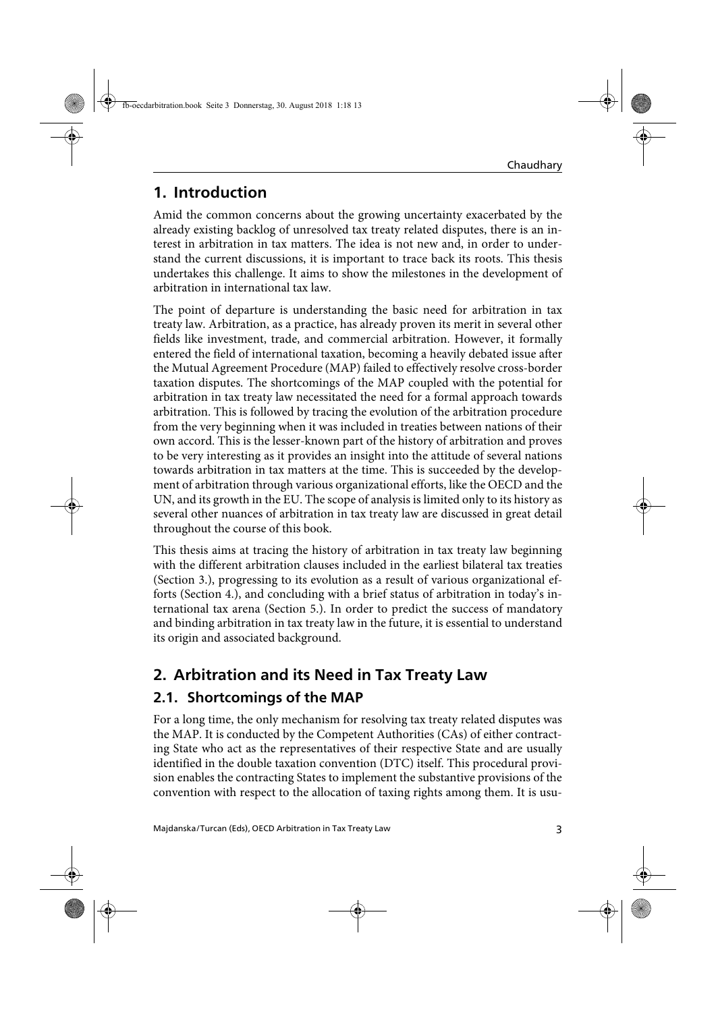## **1. Introduction**

Amid the common concerns about the growing uncertainty exacerbated by the already existing backlog of unresolved tax treaty related disputes, there is an interest in arbitration in tax matters. The idea is not new and, in order to understand the current discussions, it is important to trace back its roots. This thesis undertakes this challenge. It aims to show the milestones in the development of arbitration in international tax law.

The point of departure is understanding the basic need for arbitration in tax treaty law. Arbitration, as a practice, has already proven its merit in several other fields like investment, trade, and commercial arbitration. However, it formally entered the field of international taxation, becoming a heavily debated issue after the Mutual Agreement Procedure (MAP) failed to effectively resolve cross-border taxation disputes. The shortcomings of the MAP coupled with the potential for arbitration in tax treaty law necessitated the need for a formal approach towards arbitration. This is followed by tracing the evolution of the arbitration procedure from the very beginning when it was included in treaties between nations of their own accord. This is the lesser-known part of the history of arbitration and proves to be very interesting as it provides an insight into the attitude of several nations towards arbitration in tax matters at the time. This is succeeded by the development of arbitration through various organizational efforts, like the OECD and the UN, and its growth in the EU. The scope of analysis is limited only to its history as several other nuances of arbitration in tax treaty law are discussed in great detail throughout the course of this book.

This thesis aims at tracing the history of arbitration in tax treaty law beginning with the different arbitration clauses included in the earliest bilateral tax treaties (Section 3.), progressing to its evolution as a result of various organizational efforts (Section 4.), and concluding with a brief status of arbitration in today's international tax arena (Section 5.). In order to predict the success of mandatory and binding arbitration in tax treaty law in the future, it is essential to understand its origin and associated background.

# **2. Arbitration and its Need in Tax Treaty Law**

## **2.1. Shortcomings of the MAP**

For a long time, the only mechanism for resolving tax treaty related disputes was the MAP. It is conducted by the Competent Authorities (CAs) of either contracting State who act as the representatives of their respective State and are usually identified in the double taxation convention (DTC) itself. This procedural provision enables the contracting States to implement the substantive provisions of the convention with respect to the allocation of taxing rights among them. It is usu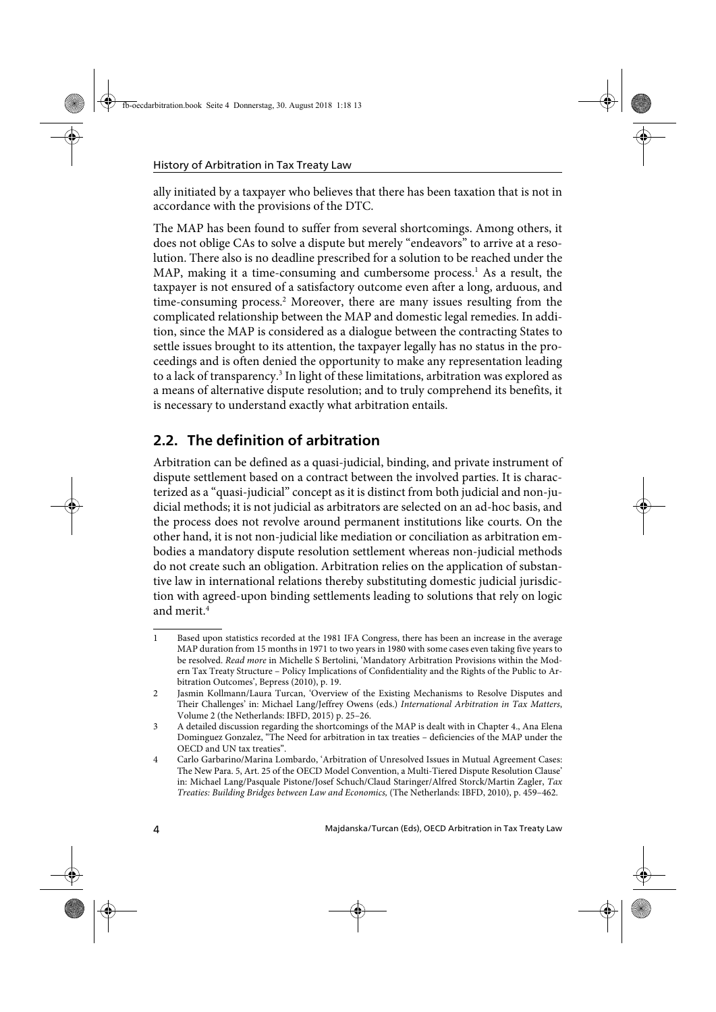ally initiated by a taxpayer who believes that there has been taxation that is not in accordance with the provisions of the DTC.

The MAP has been found to suffer from several shortcomings. Among others, it does not oblige CAs to solve a dispute but merely "endeavors" to arrive at a resolution. There also is no deadline prescribed for a solution to be reached under the MAP, making it a time-consuming and cumbersome process.<sup>1</sup> As a result, the taxpayer is not ensured of a satisfactory outcome even after a long, arduous, and time-consuming process.<sup>2</sup> Moreover, there are many issues resulting from the complicated relationship between the MAP and domestic legal remedies. In addition, since the MAP is considered as a dialogue between the contracting States to settle issues brought to its attention, the taxpayer legally has no status in the proceedings and is often denied the opportunity to make any representation leading to a lack of transparency.<sup>3</sup> In light of these limitations, arbitration was explored as a means of alternative dispute resolution; and to truly comprehend its benefits, it is necessary to understand exactly what arbitration entails.

# **2.2. The definition of arbitration**

Arbitration can be defined as a quasi-judicial, binding, and private instrument of dispute settlement based on a contract between the involved parties. It is characterized as a "quasi-judicial" concept as it is distinct from both judicial and non-judicial methods; it is not judicial as arbitrators are selected on an ad-hoc basis, and the process does not revolve around permanent institutions like courts. On the other hand, it is not non-judicial like mediation or conciliation as arbitration embodies a mandatory dispute resolution settlement whereas non-judicial methods do not create such an obligation. Arbitration relies on the application of substantive law in international relations thereby substituting domestic judicial jurisdiction with agreed-upon binding settlements leading to solutions that rely on logic and merit $4$ 

<sup>1</sup> Based upon statistics recorded at the 1981 IFA Congress, there has been an increase in the average MAP duration from 15 months in 1971 to two years in 1980 with some cases even taking five years to be resolved. Read more in Michelle S Bertolini, 'Mandatory Arbitration Provisions within the Modern Tax Treaty Structure – Policy Implications of Confidentiality and the Rights of the Public to Arbitration Outcomes', Bepress (2010), p. 19.

<sup>2</sup> Jasmin Kollmann/Laura Turcan, 'Overview of the Existing Mechanisms to Resolve Disputes and Their Challenges' in: Michael Lang/Jeffrey Owens (eds.) International Arbitration in Tax Matters, Volume 2 (the Netherlands: IBFD, 2015) p. 25–26.

<sup>3</sup> A detailed discussion regarding the shortcomings of the MAP is dealt with in Chapter 4., Ana Elena Dominguez Gonzalez, "The Need for arbitration in tax treaties – deficiencies of the MAP under the OECD and UN tax treaties".

<sup>4</sup> Carlo Garbarino/Marina Lombardo, 'Arbitration of Unresolved Issues in Mutual Agreement Cases: The New Para. 5, Art. 25 of the OECD Model Convention, a Multi-Tiered Dispute Resolution Clause' in: Michael Lang/Pasquale Pistone/Josef Schuch/Claud Staringer/Alfred Storck/Martin Zagler, Tax Treaties: Building Bridges between Law and Economics, (The Netherlands: IBFD, 2010), p. 459–462.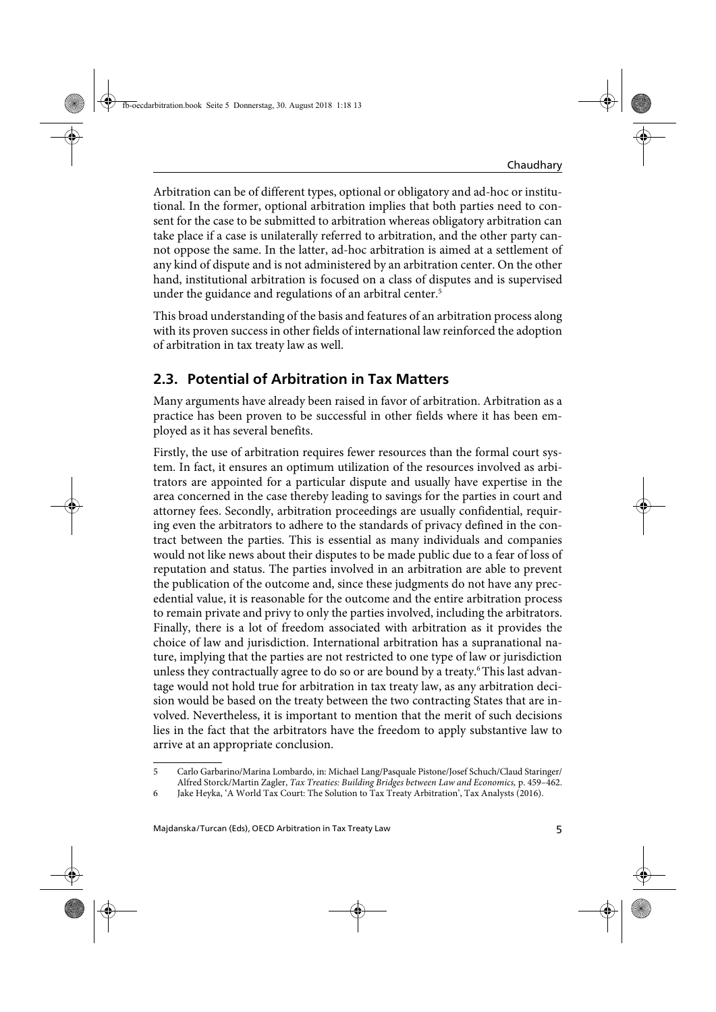Arbitration can be of different types, optional or obligatory and ad-hoc or institutional. In the former, optional arbitration implies that both parties need to consent for the case to be submitted to arbitration whereas obligatory arbitration can take place if a case is unilaterally referred to arbitration, and the other party cannot oppose the same. In the latter, ad-hoc arbitration is aimed at a settlement of any kind of dispute and is not administered by an arbitration center. On the other hand, institutional arbitration is focused on a class of disputes and is supervised under the guidance and regulations of an arbitral center.<sup>5</sup>

This broad understanding of the basis and features of an arbitration process along with its proven success in other fields of international law reinforced the adoption of arbitration in tax treaty law as well.

### **2.3. Potential of Arbitration in Tax Matters**

Many arguments have already been raised in favor of arbitration. Arbitration as a practice has been proven to be successful in other fields where it has been employed as it has several benefits.

Firstly, the use of arbitration requires fewer resources than the formal court system. In fact, it ensures an optimum utilization of the resources involved as arbitrators are appointed for a particular dispute and usually have expertise in the area concerned in the case thereby leading to savings for the parties in court and attorney fees. Secondly, arbitration proceedings are usually confidential, requiring even the arbitrators to adhere to the standards of privacy defined in the contract between the parties. This is essential as many individuals and companies would not like news about their disputes to be made public due to a fear of loss of reputation and status. The parties involved in an arbitration are able to prevent the publication of the outcome and, since these judgments do not have any precedential value, it is reasonable for the outcome and the entire arbitration process to remain private and privy to only the parties involved, including the arbitrators. Finally, there is a lot of freedom associated with arbitration as it provides the choice of law and jurisdiction. International arbitration has a supranational nature, implying that the parties are not restricted to one type of law or jurisdiction unless they contractually agree to do so or are bound by a treaty.<sup>6</sup> This last advantage would not hold true for arbitration in tax treaty law, as any arbitration decision would be based on the treaty between the two contracting States that are involved. Nevertheless, it is important to mention that the merit of such decisions lies in the fact that the arbitrators have the freedom to apply substantive law to arrive at an appropriate conclusion.

<sup>5</sup> Carlo Garbarino/Marina Lombardo, in: Michael Lang/Pasquale Pistone/Josef Schuch/Claud Staringer/ Alfred Storck/Martin Zagler, Tax Treaties: Building Bridges between Law and Economics, p. 459–462.

<sup>6</sup> Jake Heyka, 'A World Tax Court: The Solution to Tax Treaty Arbitration', Tax Analysts (2016).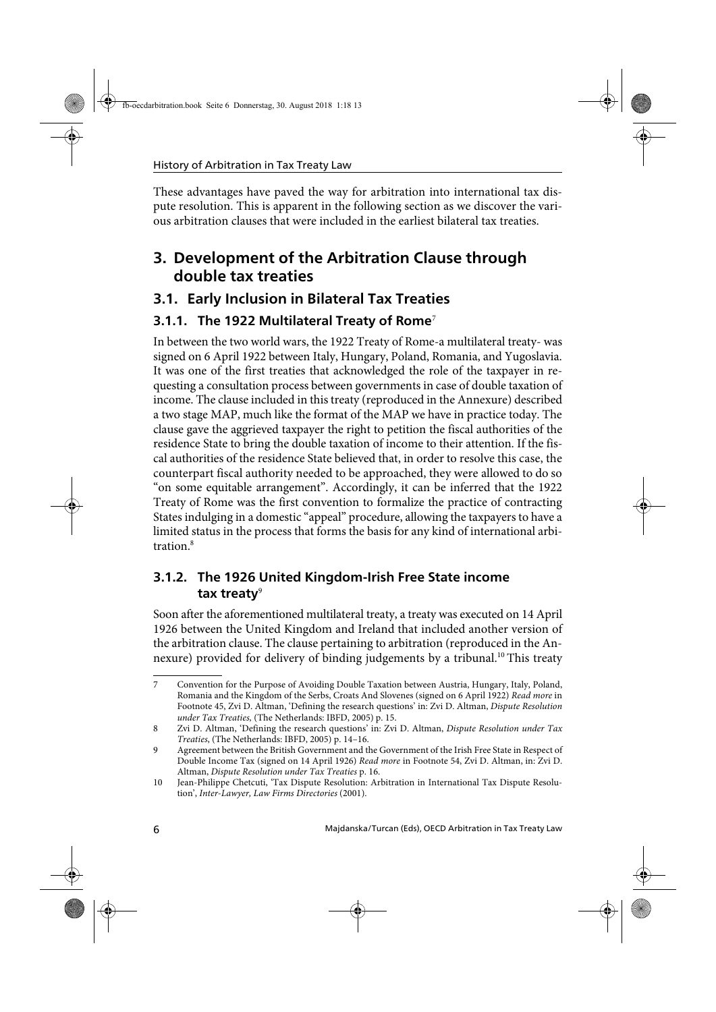These advantages have paved the way for arbitration into international tax dispute resolution. This is apparent in the following section as we discover the various arbitration clauses that were included in the earliest bilateral tax treaties.

# **3. Development of the Arbitration Clause through double tax treaties**

### **3.1. Early Inclusion in Bilateral Tax Treaties**

#### **3.1.1. The 1922 Multilateral Treaty of Rome**<sup>7</sup>

In between the two world wars, the 1922 Treaty of Rome-a multilateral treaty- was signed on 6 April 1922 between Italy, Hungary, Poland, Romania, and Yugoslavia. It was one of the first treaties that acknowledged the role of the taxpayer in requesting a consultation process between governments in case of double taxation of income. The clause included in this treaty (reproduced in the Annexure) described a two stage MAP, much like the format of the MAP we have in practice today. The clause gave the aggrieved taxpayer the right to petition the fiscal authorities of the residence State to bring the double taxation of income to their attention. If the fiscal authorities of the residence State believed that, in order to resolve this case, the counterpart fiscal authority needed to be approached, they were allowed to do so "on some equitable arrangement". Accordingly, it can be inferred that the 1922 Treaty of Rome was the first convention to formalize the practice of contracting States indulging in a domestic "appeal" procedure, allowing the taxpayers to have a limited status in the process that forms the basis for any kind of international arbitration.<sup>8</sup>

#### **3.1.2. The 1926 United Kingdom-Irish Free State income**  tax treaty<sup>9</sup>

Soon after the aforementioned multilateral treaty, a treaty was executed on 14 April 1926 between the United Kingdom and Ireland that included another version of the arbitration clause. The clause pertaining to arbitration (reproduced in the Annexure) provided for delivery of binding judgements by a tribunal.<sup>10</sup> This treaty

<sup>7</sup> Convention for the Purpose of Avoiding Double Taxation between Austria, Hungary, Italy, Poland, Romania and the Kingdom of the Serbs, Croats And Slovenes (signed on 6 April 1922) Read more in Footnote 45, Zvi D. Altman, 'Defining the research questions' in: Zvi D. Altman, Dispute Resolution under Tax Treaties, (The Netherlands: IBFD, 2005) p. 15.

<sup>8</sup> Zvi D. Altman, 'Defining the research questions' in: Zvi D. Altman, Dispute Resolution under Tax Treaties, (The Netherlands: IBFD, 2005) p. 14–16.

<sup>9</sup> Agreement between the British Government and the Government of the Irish Free State in Respect of Double Income Tax (signed on 14 April 1926) Read more in Footnote 54, Zvi D. Altman, in: Zvi D. Altman, Dispute Resolution under Tax Treaties p. 16.

<sup>10</sup> Jean-Philippe Chetcuti, 'Tax Dispute Resolution: Arbitration in International Tax Dispute Resolution', Inter-Lawyer, Law Firms Directories (2001).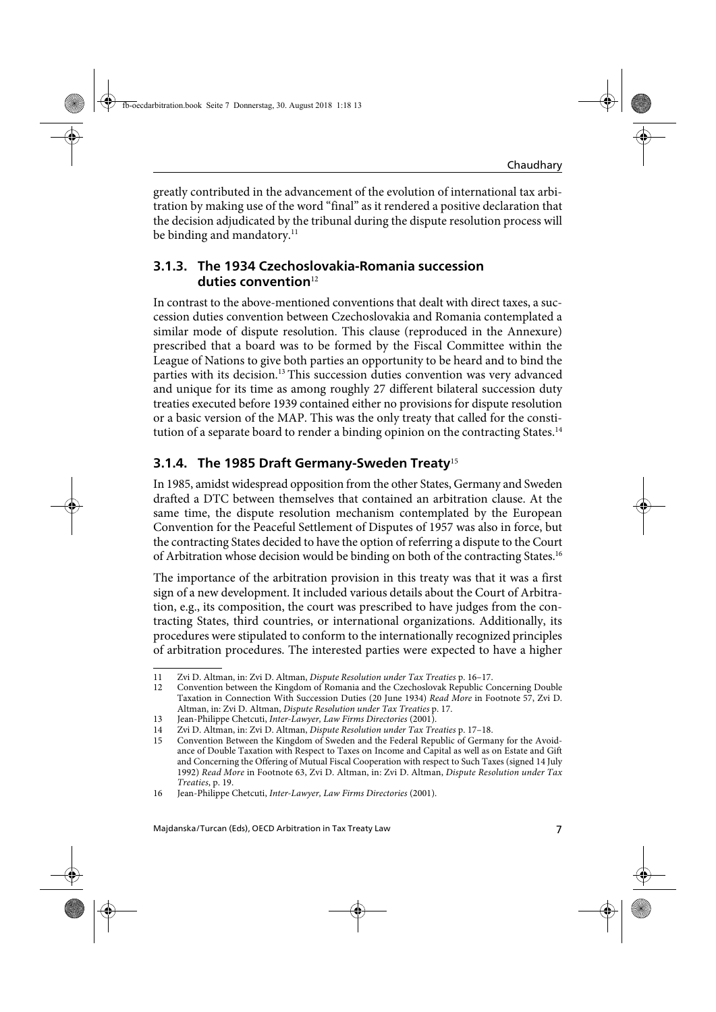greatly contributed in the advancement of the evolution of international tax arbitration by making use of the word "final" as it rendered a positive declaration that the decision adjudicated by the tribunal during the dispute resolution process will be binding and mandatory.<sup>11</sup>

#### **3.1.3. The 1934 Czechoslovakia-Romania succession**  duties convention<sup>12</sup>

In contrast to the above-mentioned conventions that dealt with direct taxes, a succession duties convention between Czechoslovakia and Romania contemplated a similar mode of dispute resolution. This clause (reproduced in the Annexure) prescribed that a board was to be formed by the Fiscal Committee within the League of Nations to give both parties an opportunity to be heard and to bind the parties with its decision.<sup>13</sup> This succession duties convention was very advanced and unique for its time as among roughly 27 different bilateral succession duty treaties executed before 1939 contained either no provisions for dispute resolution or a basic version of the MAP. This was the only treaty that called for the constitution of a separate board to render a binding opinion on the contracting States.<sup>14</sup>

#### **3.1.4. The 1985 Draft Germany-Sweden Treaty**<sup>15</sup>

In 1985, amidst widespread opposition from the other States, Germany and Sweden drafted a DTC between themselves that contained an arbitration clause. At the same time, the dispute resolution mechanism contemplated by the European Convention for the Peaceful Settlement of Disputes of 1957 was also in force, but the contracting States decided to have the option of referring a dispute to the Court of Arbitration whose decision would be binding on both of the contracting States.<sup>16</sup>

The importance of the arbitration provision in this treaty was that it was a first sign of a new development. It included various details about the Court of Arbitration, e.g., its composition, the court was prescribed to have judges from the contracting States, third countries, or international organizations. Additionally, its procedures were stipulated to conform to the internationally recognized principles of arbitration procedures. The interested parties were expected to have a higher

<sup>11</sup> Zvi D. Altman, in: Zvi D. Altman, Dispute Resolution under Tax Treaties p. 16–17.

<sup>12</sup> Convention between the Kingdom of Romania and the Czechoslovak Republic Concerning Double Taxation in Connection With Succession Duties (20 June 1934) Read More in Footnote 57, Zvi D. Altman, in: Zvi D. Altman, Dispute Resolution under Tax Treaties p. 17.

<sup>13</sup> Jean-Philippe Chetcuti, Inter-Lawyer, Law Firms Directories (2001).

<sup>14</sup> Zvi D. Altman, in: Zvi D. Altman, Dispute Resolution under Tax Treaties p. 17–18.

<sup>15</sup> Convention Between the Kingdom of Sweden and the Federal Republic of Germany for the Avoidance of Double Taxation with Respect to Taxes on Income and Capital as well as on Estate and Gift and Concerning the Offering of Mutual Fiscal Cooperation with respect to Such Taxes (signed 14 July 1992) Read More in Footnote 63, Zvi D. Altman, in: Zvi D. Altman, Dispute Resolution under Tax Treaties, p. 19.

<sup>16</sup> Jean-Philippe Chetcuti, Inter-Lawyer, Law Firms Directories (2001).